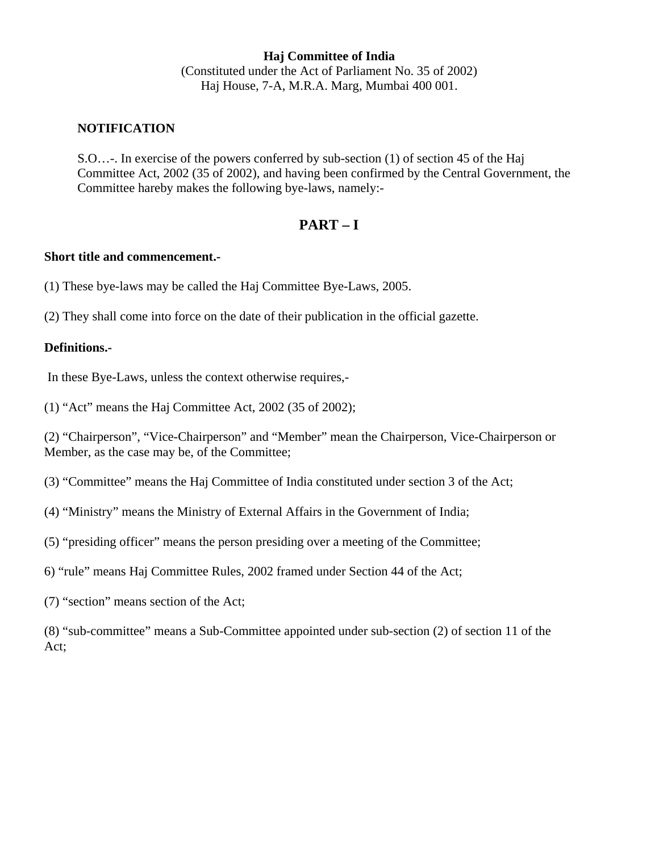**Haj Committee of India** (Constituted under the Act of Parliament No. 35 of 2002) Haj House, 7-A, M.R.A. Marg, Mumbai 400 001.

## **NOTIFICATION**

S.O…-. In exercise of the powers conferred by sub-section (1) of section 45 of the Haj Committee Act, 2002 (35 of 2002), and having been confirmed by the Central Government, the Committee hareby makes the following bye-laws, namely:-

## **PART – I**

## **Short title and commencement.-**

(1) These bye-laws may be called the Haj Committee Bye-Laws, 2005.

(2) They shall come into force on the date of their publication in the official gazette.

#### **Definitions.-**

In these Bye-Laws, unless the context otherwise requires,-

(1) "Act" means the Haj Committee Act, 2002 (35 of 2002);

(2) "Chairperson", "Vice-Chairperson" and "Member" mean the Chairperson, Vice-Chairperson or Member, as the case may be, of the Committee;

(3) "Committee" means the Haj Committee of India constituted under section 3 of the Act;

- (4) "Ministry" means the Ministry of External Affairs in the Government of India;
- (5) "presiding officer" means the person presiding over a meeting of the Committee;
- 6) "rule" means Haj Committee Rules, 2002 framed under Section 44 of the Act;
- (7) "section" means section of the Act;

(8) "sub-committee" means a Sub-Committee appointed under sub-section (2) of section 11 of the Act;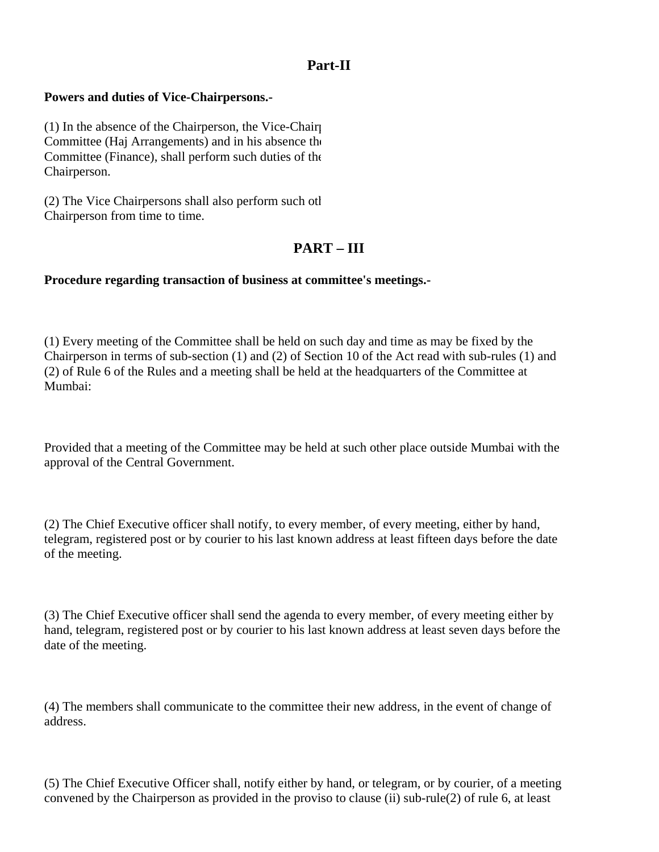## **Part-II**

## **Powers and duties of Vice-Chairpersons.-**

(1) In the absence of the Chairperson, the Vice-Chairp Committee (Haj Arrangements) and in his absence the Committee (Finance), shall perform such duties of the Chairperson.

(2) The Vice Chairpersons shall also perform such oth Chairperson from time to time.

# **PART – III**

## **Procedure regarding transaction of business at committee's meetings.-**

(1) Every meeting of the Committee shall be held on such day and time as may be fixed by the Chairperson in terms of sub-section (1) and (2) of Section 10 of the Act read with sub-rules (1) and (2) of Rule 6 of the Rules and a meeting shall be held at the headquarters of the Committee at Mumbai:

Provided that a meeting of the Committee may be held at such other place outside Mumbai with the approval of the Central Government.

(2) The Chief Executive officer shall notify, to every member, of every meeting, either by hand, telegram, registered post or by courier to his last known address at least fifteen days before the date of the meeting.

(3) The Chief Executive officer shall send the agenda to every member, of every meeting either by hand, telegram, registered post or by courier to his last known address at least seven days before the date of the meeting.

(4) The members shall communicate to the committee their new address, in the event of change of address.

(5) The Chief Executive Officer shall, notify either by hand, or telegram, or by courier, of a meeting convened by the Chairperson as provided in the proviso to clause (ii) sub-rule(2) of rule 6, at least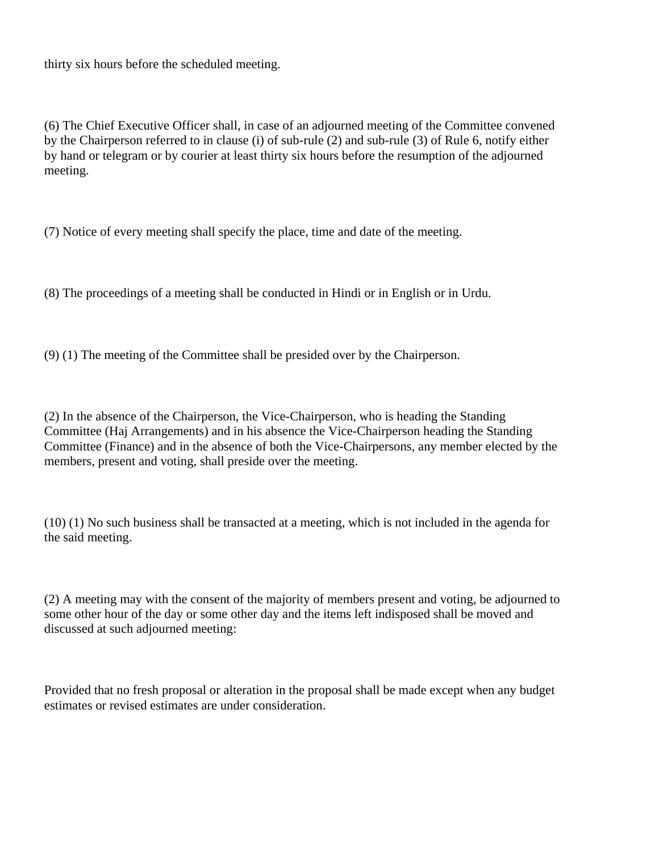thirty six hours before the scheduled meeting.

(6) The Chief Executive Officer shall, in case of an adjourned meeting of the Committee convened by the Chairperson referred to in clause (i) of sub-rule (2) and sub-rule (3) of Rule 6, notify either by hand or telegram or by courier at least thirty six hours before the resumption of the adjourned meeting.

(7) Notice of every meeting shall specify the place, time and date of the meeting.

(8) The proceedings of a meeting shall be conducted in Hindi or in English or in Urdu.

(9) (1) The meeting of the Committee shall be presided over by the Chairperson.

(2) In the absence of the Chairperson, the Vice-Chairperson, who is heading the Standing Committee (Haj Arrangements) and in his absence the Vice-Chairperson heading the Standing Committee (Finance) and in the absence of both the Vice-Chairpersons, any member elected by the members, present and voting, shall preside over the meeting.

(10) (1) No such business shall be transacted at a meeting, which is not included in the agenda for the said meeting.

(2) A meeting may with the consent of the majority of members present and voting, be adjourned to some other hour of the day or some other day and the items left indisposed shall be moved and discussed at such adjourned meeting:

Provided that no fresh proposal or alteration in the proposal shall be made except when any budget estimates or revised estimates are under consideration.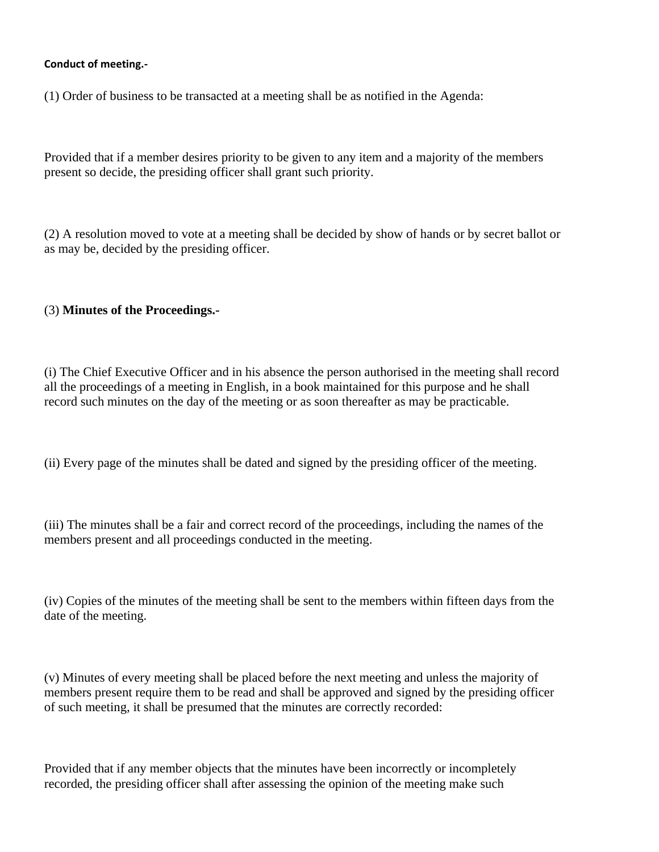## **Conduct of meeting.-**

(1) Order of business to be transacted at a meeting shall be as notified in the Agenda:

Provided that if a member desires priority to be given to any item and a majority of the members present so decide, the presiding officer shall grant such priority.

(2) A resolution moved to vote at a meeting shall be decided by show of hands or by secret ballot or as may be, decided by the presiding officer.

## (3) **Minutes of the Proceedings.-**

(i) The Chief Executive Officer and in his absence the person authorised in the meeting shall record all the proceedings of a meeting in English, in a book maintained for this purpose and he shall record such minutes on the day of the meeting or as soon thereafter as may be practicable.

(ii) Every page of the minutes shall be dated and signed by the presiding officer of the meeting.

(iii) The minutes shall be a fair and correct record of the proceedings, including the names of the members present and all proceedings conducted in the meeting.

(iv) Copies of the minutes of the meeting shall be sent to the members within fifteen days from the date of the meeting.

(v) Minutes of every meeting shall be placed before the next meeting and unless the majority of members present require them to be read and shall be approved and signed by the presiding officer of such meeting, it shall be presumed that the minutes are correctly recorded:

Provided that if any member objects that the minutes have been incorrectly or incompletely recorded, the presiding officer shall after assessing the opinion of the meeting make such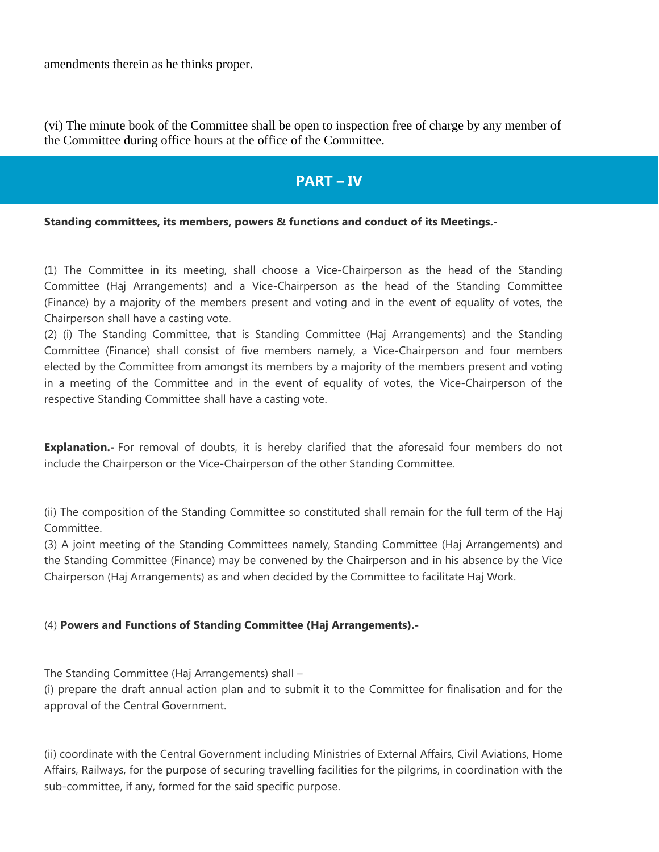amendments therein as he thinks proper.

(vi) The minute book of the Committee shall be open to inspection free of charge by any member of the Committee during office hours at the office of the Committee.

# **PART – IV**

## **Standing committees, its members, powers & functions and conduct of its Meetings.-**

(1) The Committee in its meeting, shall choose a Vice-Chairperson as the head of the Standing Committee (Haj Arrangements) and a Vice-Chairperson as the head of the Standing Committee (Finance) by a majority of the members present and voting and in the event of equality of votes, the Chairperson shall have a casting vote.

(2) (i) The Standing Committee, that is Standing Committee (Haj Arrangements) and the Standing Committee (Finance) shall consist of five members namely, a Vice-Chairperson and four members elected by the Committee from amongst its members by a majority of the members present and voting in a meeting of the Committee and in the event of equality of votes, the Vice-Chairperson of the respective Standing Committee shall have a casting vote.

**Explanation.**- For removal of doubts, it is hereby clarified that the aforesaid four members do not include the Chairperson or the Vice-Chairperson of the other Standing Committee.

(ii) The composition of the Standing Committee so constituted shall remain for the full term of the Haj Committee.

(3) A joint meeting of the Standing Committees namely, Standing Committee (Haj Arrangements) and the Standing Committee (Finance) may be convened by the Chairperson and in his absence by the Vice Chairperson (Haj Arrangements) as and when decided by the Committee to facilitate Haj Work.

#### (4) **Powers and Functions of Standing Committee (Haj Arrangements).-**

The Standing Committee (Haj Arrangements) shall –

(i) prepare the draft annual action plan and to submit it to the Committee for finalisation and for the approval of the Central Government.

(ii) coordinate with the Central Government including Ministries of External Affairs, Civil Aviations, Home Affairs, Railways, for the purpose of securing travelling facilities for the pilgrims, in coordination with the sub-committee, if any, formed for the said specific purpose.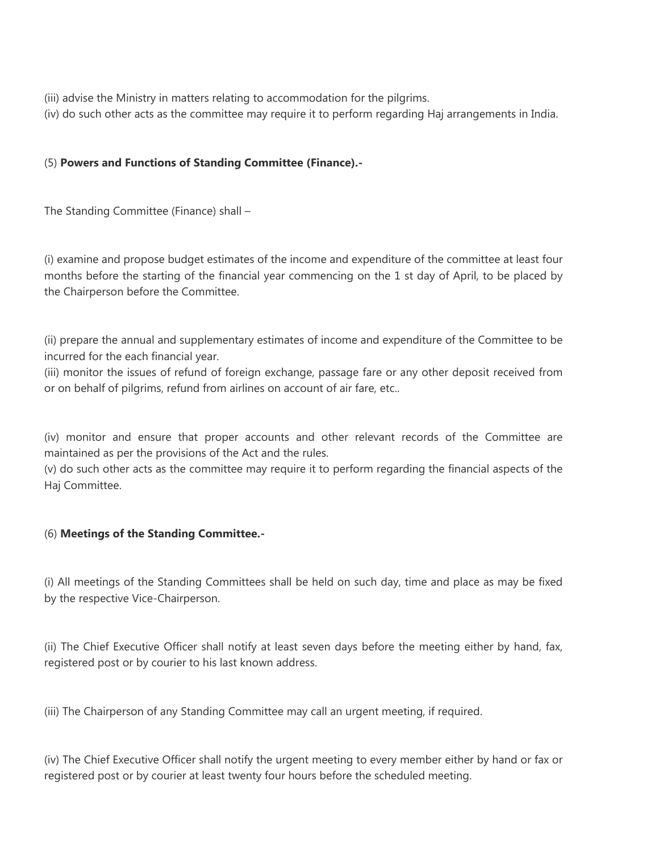- (iii) advise the Ministry in matters relating to accommodation for the pilgrims.
- (iv) do such other acts as the committee may require it to perform regarding Haj arrangements in India.

## (5) **Powers and Functions of Standing Committee (Finance).-**

The Standing Committee (Finance) shall –

(i) examine and propose budget estimates of the income and expenditure of the committee at least four months before the starting of the financial year commencing on the 1 st day of April, to be placed by the Chairperson before the Committee.

(ii) prepare the annual and supplementary estimates of income and expenditure of the Committee to be incurred for the each financial year.

(iii) monitor the issues of refund of foreign exchange, passage fare or any other deposit received from or on behalf of pilgrims, refund from airlines on account of air fare, etc..

(iv) monitor and ensure that proper accounts and other relevant records of the Committee are maintained as per the provisions of the Act and the rules.

(v) do such other acts as the committee may require it to perform regarding the financial aspects of the Haj Committee.

## (6) **Meetings of the Standing Committee.-**

(i) All meetings of the Standing Committees shall be held on such day, time and place as may be fixed by the respective Vice-Chairperson.

(ii) The Chief Executive Officer shall notify at least seven days before the meeting either by hand, fax, registered post or by courier to his last known address.

(iii) The Chairperson of any Standing Committee may call an urgent meeting, if required.

(iv) The Chief Executive Officer shall notify the urgent meeting to every member either by hand or fax or registered post or by courier at least twenty four hours before the scheduled meeting.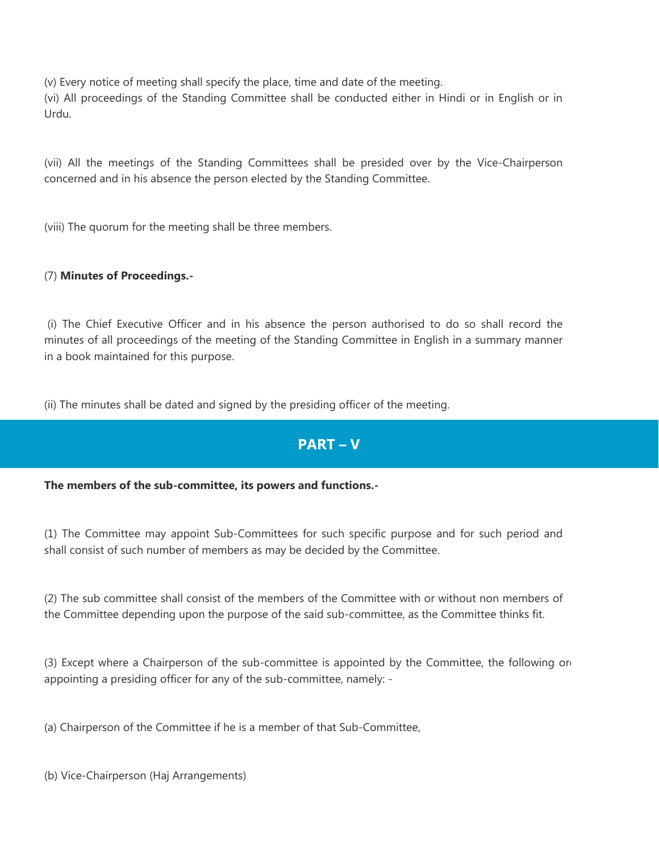(v) Every notice of meeting shall specify the place, time and date of the meeting. (vi) All proceedings of the Standing Committee shall be conducted either in Hindi or in English or in Urdu.

(vii) All the meetings of the Standing Committees shall be presided over by the Vice-Chairperson concerned and in his absence the person elected by the Standing Committee.

(viii) The quorum for the meeting shall be three members.

## (7) **Minutes of Proceedings.-**

(i) The Chief Executive Officer and in his absence the person authorised to do so shall record the minutes of all proceedings of the meeting of the Standing Committee in English in a summary manner in a book maintained for this purpose.

(ii) The minutes shall be dated and signed by the presiding officer of the meeting.

# **PART – V**

## **The members of the sub-committee, its powers and functions.-**

(1) The Committee may appoint Sub-Committees for such specific purpose and for such period and shall consist of such number of members as may be decided by the Committee.

(2) The sub committee shall consist of the members of the Committee with or without non members of the Committee depending upon the purpose of the said sub-committee, as the Committee thinks fit.

(3) Except where a Chairperson of the sub-committee is appointed by the Committee, the following ord appointing a presiding officer for any of the sub-committee, namely: -

(a) Chairperson of the Committee if he is a member of that Sub-Committee,

(b) Vice-Chairperson (Haj Arrangements)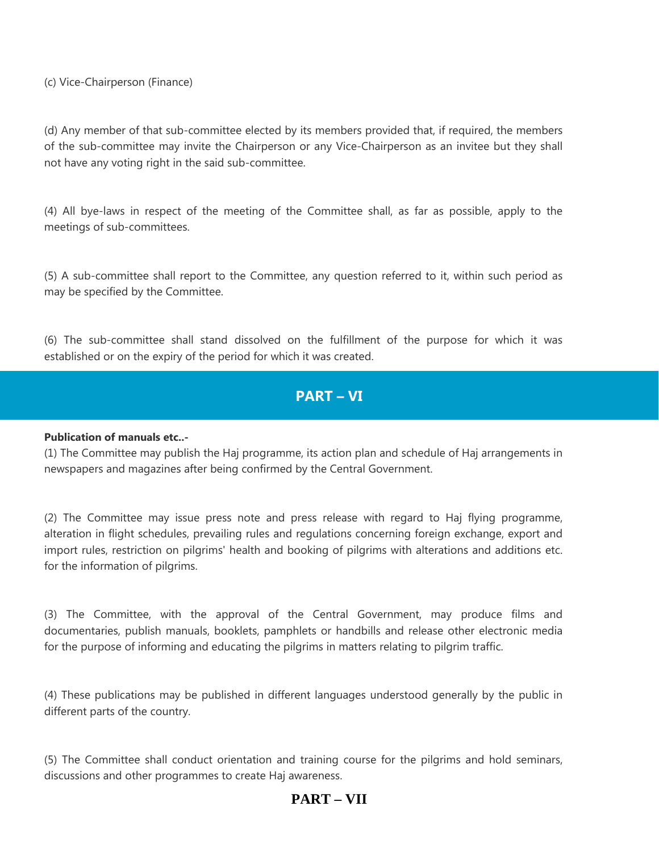(c) Vice-Chairperson (Finance)

(d) Any member of that sub-committee elected by its members provided that, if required, the members of the sub-committee may invite the Chairperson or any Vice-Chairperson as an invitee but they shall not have any voting right in the said sub-committee.

(4) All bye-laws in respect of the meeting of the Committee shall, as far as possible, apply to the meetings of sub-committees.

(5) A sub-committee shall report to the Committee, any question referred to it, within such period as may be specified by the Committee.

(6) The sub-committee shall stand dissolved on the fulfillment of the purpose for which it was established or on the expiry of the period for which it was created.

# **PART – VI**

## **Publication of manuals etc..-**

(1) The Committee may publish the Haj programme, its action plan and schedule of Haj arrangements in newspapers and magazines after being confirmed by the Central Government.

(2) The Committee may issue press note and press release with regard to Haj flying programme, alteration in flight schedules, prevailing rules and regulations concerning foreign exchange, export and import rules, restriction on pilgrims' health and booking of pilgrims with alterations and additions etc. for the information of pilgrims.

(3) The Committee, with the approval of the Central Government, may produce films and documentaries, publish manuals, booklets, pamphlets or handbills and release other electronic media for the purpose of informing and educating the pilgrims in matters relating to pilgrim traffic.

(4) These publications may be published in different languages understood generally by the public in different parts of the country.

(5) The Committee shall conduct orientation and training course for the pilgrims and hold seminars, discussions and other programmes to create Haj awareness.

# **PART – VII**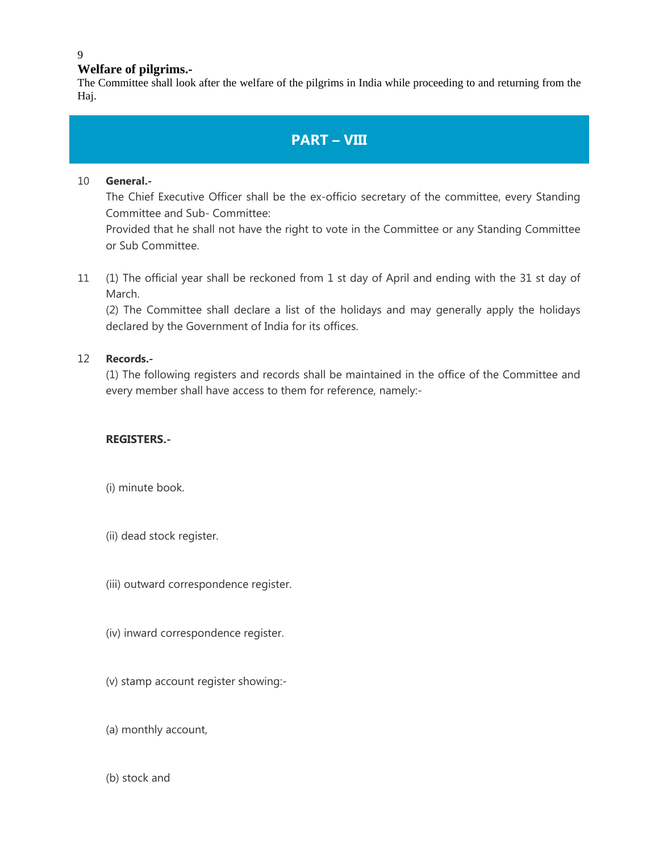### 9

## **Welfare of pilgrims.-**

The Committee shall look after the welfare of the pilgrims in India while proceeding to and returning from the Haj.

# **PART – VIII**

## 10 **General.-**

The Chief Executive Officer shall be the ex-officio secretary of the committee, every Standing Committee and Sub- Committee:

Provided that he shall not have the right to vote in the Committee or any Standing Committee or Sub Committee.

11 (1) The official year shall be reckoned from 1 st day of April and ending with the 31 st day of March.

(2) The Committee shall declare a list of the holidays and may generally apply the holidays declared by the Government of India for its offices.

## 12 **Records.-**

(1) The following registers and records shall be maintained in the office of the Committee and every member shall have access to them for reference, namely:-

## **REGISTERS.-**

- (i) minute book.
- (ii) dead stock register.
- (iii) outward correspondence register.
- (iv) inward correspondence register.
- (v) stamp account register showing:-
- (a) monthly account,
- (b) stock and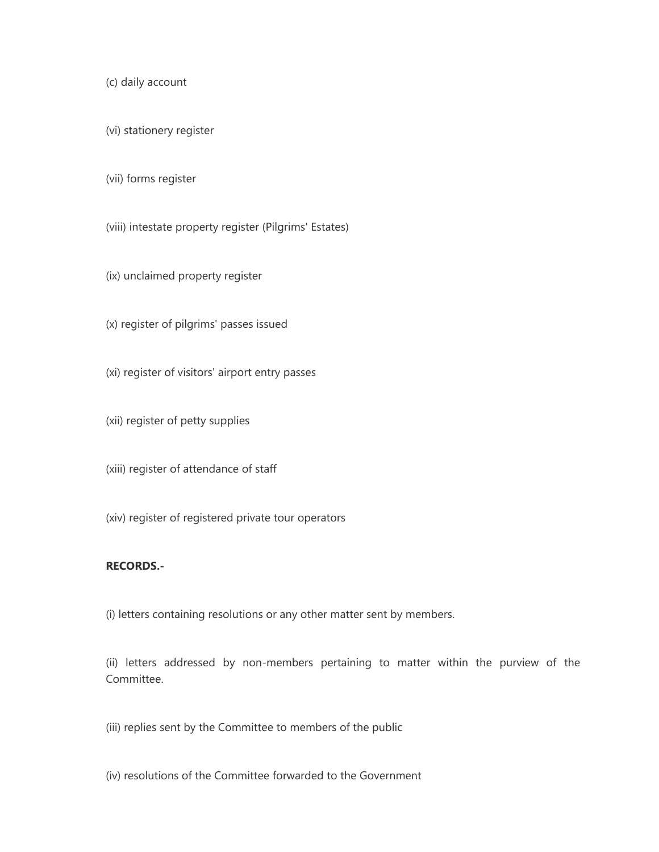(c) daily account

(vi) stationery register

(vii) forms register

(viii) intestate property register (Pilgrims' Estates)

- (ix) unclaimed property register
- (x) register of pilgrims' passes issued
- (xi) register of visitors' airport entry passes
- (xii) register of petty supplies

(xiii) register of attendance of staff

(xiv) register of registered private tour operators

#### **RECORDS.-**

(i) letters containing resolutions or any other matter sent by members.

(ii) letters addressed by non-members pertaining to matter within the purview of the Committee.

- (iii) replies sent by the Committee to members of the public
- (iv) resolutions of the Committee forwarded to the Government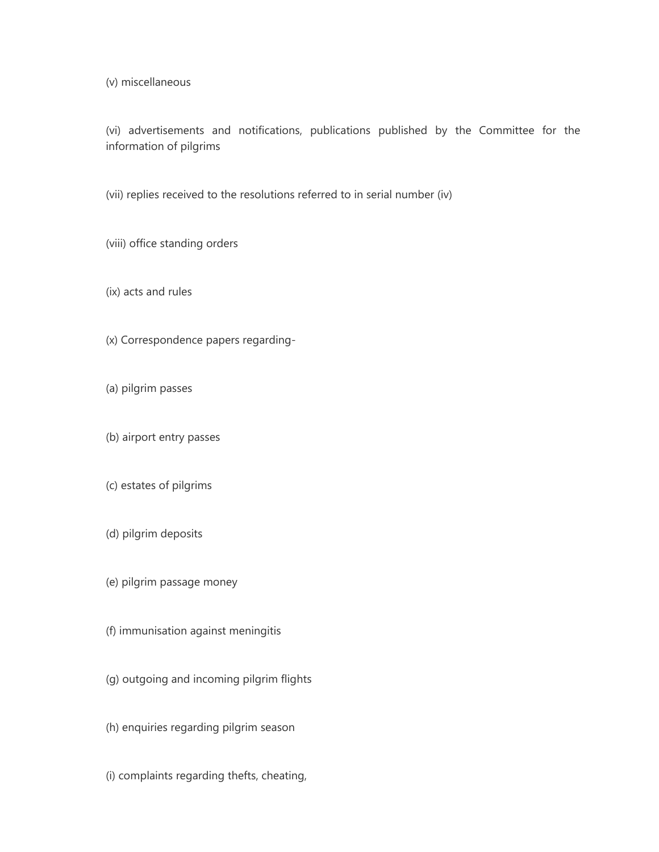(v) miscellaneous

(vi) advertisements and notifications, publications published by the Committee for the information of pilgrims

(vii) replies received to the resolutions referred to in serial number (iv)

(viii) office standing orders

(ix) acts and rules

(x) Correspondence papers regarding-

(a) pilgrim passes

(b) airport entry passes

(c) estates of pilgrims

(d) pilgrim deposits

(e) pilgrim passage money

(f) immunisation against meningitis

(g) outgoing and incoming pilgrim flights

(h) enquiries regarding pilgrim season

(i) complaints regarding thefts, cheating,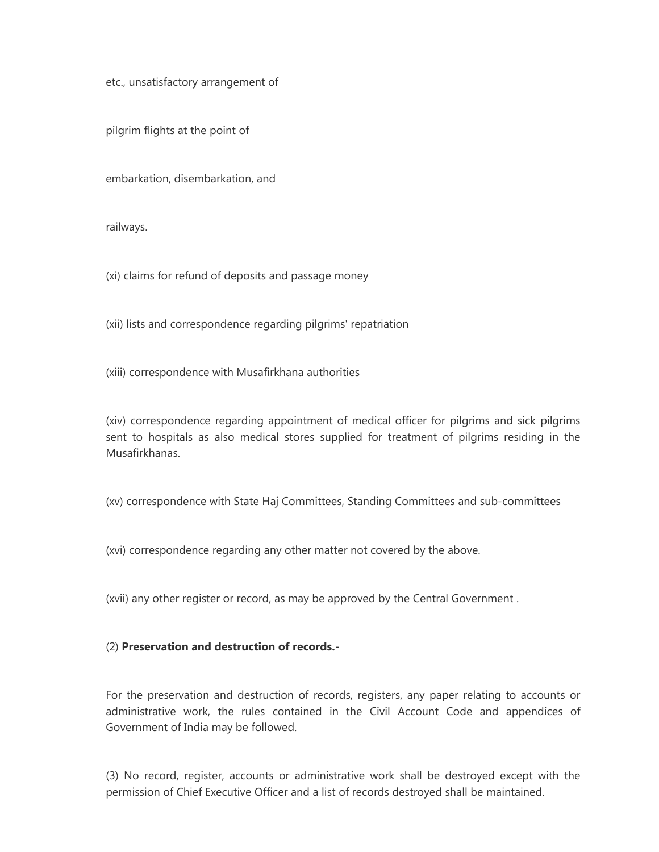etc., unsatisfactory arrangement of

pilgrim flights at the point of

embarkation, disembarkation, and

railways.

(xi) claims for refund of deposits and passage money

(xii) lists and correspondence regarding pilgrims' repatriation

(xiii) correspondence with Musafirkhana authorities

(xiv) correspondence regarding appointment of medical officer for pilgrims and sick pilgrims sent to hospitals as also medical stores supplied for treatment of pilgrims residing in the Musafirkhanas.

(xv) correspondence with State Haj Committees, Standing Committees and sub-committees

(xvi) correspondence regarding any other matter not covered by the above.

(xvii) any other register or record, as may be approved by the Central Government .

#### (2) **Preservation and destruction of records.-**

For the preservation and destruction of records, registers, any paper relating to accounts or administrative work, the rules contained in the Civil Account Code and appendices of Government of India may be followed.

(3) No record, register, accounts or administrative work shall be destroyed except with the permission of Chief Executive Officer and a list of records destroyed shall be maintained.